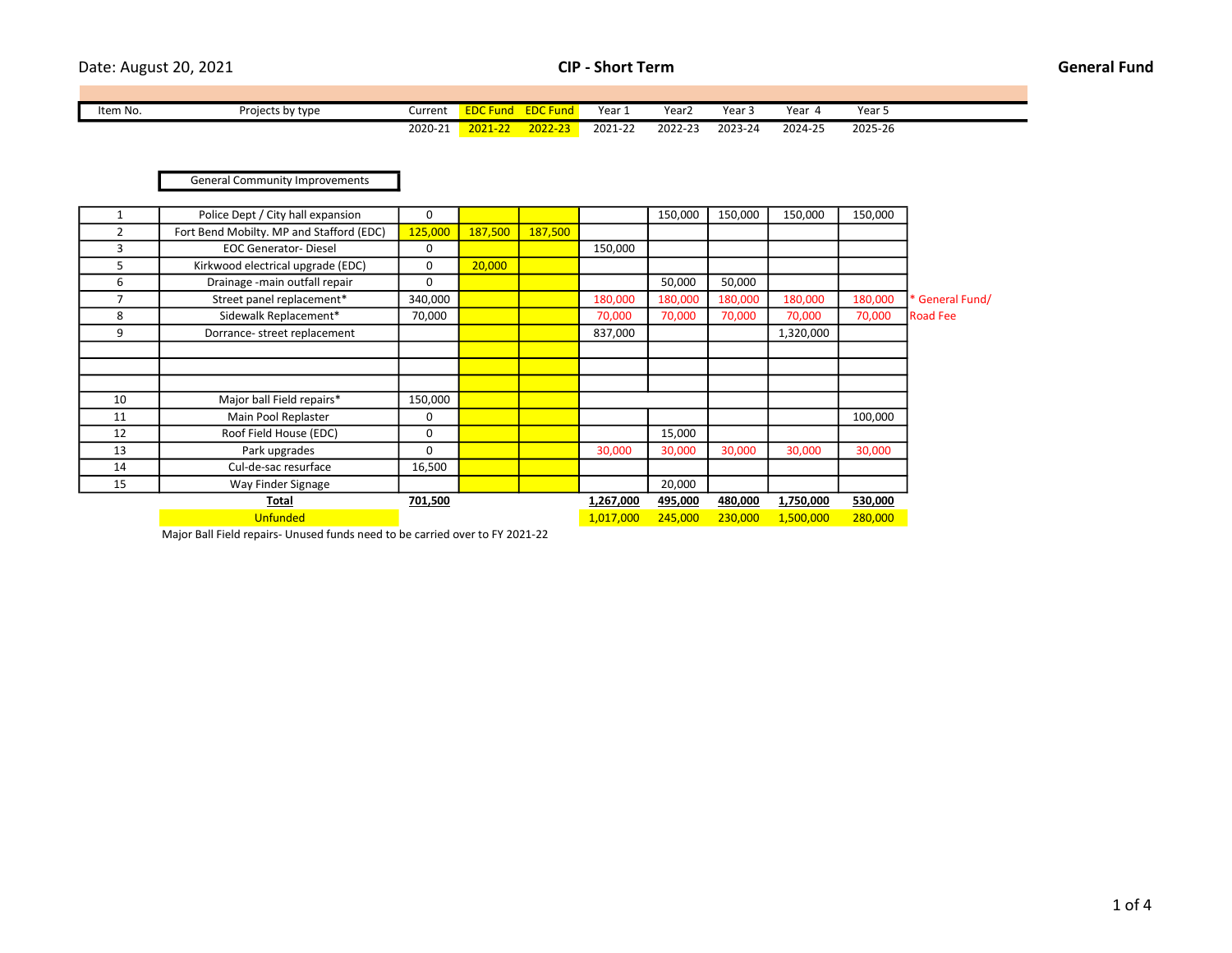Date: August 20, 2021 **CIP - Short Term CIP - Short Term General Fund** 

| Item No. | Projects by type | Current | $  -$<br><b>Fund</b><br>. | <b>EDCF</b><br>und               | Year.   | Year∠   | Year 5  | Year    | Year    |  |
|----------|------------------|---------|---------------------------|----------------------------------|---------|---------|---------|---------|---------|--|
|          |                  | 2020-21 | 2021-22                   | <u> -022, י</u><br>$\sim$ $\sim$ | 2021-22 | 2022-23 | 2023-24 | 2024-25 | 2025-26 |  |

General Community Improvements

|                | Police Dept / City hall expansion        | 0       |         |         |           | 150,000 | 150,000 | 150,000   | 150,000 |                 |
|----------------|------------------------------------------|---------|---------|---------|-----------|---------|---------|-----------|---------|-----------------|
| $\overline{2}$ | Fort Bend Mobilty. MP and Stafford (EDC) | 125,000 | 187,500 | 187,500 |           |         |         |           |         |                 |
| 3              | <b>EOC Generator-Diesel</b>              | 0       |         |         | 150,000   |         |         |           |         |                 |
| 5              | Kirkwood electrical upgrade (EDC)        | 0       | 20,000  |         |           |         |         |           |         |                 |
| 6              | Drainage - main outfall repair           | 0       |         |         |           | 50,000  | 50,000  |           |         |                 |
| $\overline{7}$ | Street panel replacement*                | 340,000 |         |         | 180,000   | 180,000 | 180,000 | 180,000   | 180,000 | * General Fund/ |
| 8              | Sidewalk Replacement*                    | 70,000  |         |         | 70,000    | 70,000  | 70,000  | 70,000    | 70,000  | <b>Road Fee</b> |
| 9              | Dorrance-street replacement              |         |         |         | 837,000   |         |         | 1,320,000 |         |                 |
|                |                                          |         |         |         |           |         |         |           |         |                 |
|                |                                          |         |         |         |           |         |         |           |         |                 |
|                |                                          |         |         |         |           |         |         |           |         |                 |
| 10             | Major ball Field repairs*                | 150,000 |         |         |           |         |         |           |         |                 |
| 11             | Main Pool Replaster                      | 0       |         |         |           |         |         |           | 100,000 |                 |
| 12             | Roof Field House (EDC)                   | 0       |         |         |           | 15,000  |         |           |         |                 |
| 13             | Park upgrades                            | 0       |         |         | 30,000    | 30,000  | 30,000  | 30,000    | 30,000  |                 |
| 14             | Cul-de-sac resurface                     | 16,500  |         |         |           |         |         |           |         |                 |
| 15             | Way Finder Signage                       |         |         |         |           | 20,000  |         |           |         |                 |
|                | Total                                    | 701,500 |         |         | 1,267,000 | 495,000 | 480,000 | 1,750,000 | 530,000 |                 |
|                | <b>Unfunded</b>                          |         |         |         | 1,017,000 | 245,000 | 230,000 | 1,500,000 | 280,000 |                 |

Major Ball Field repairs- Unused funds need to be carried over to FY 2021-22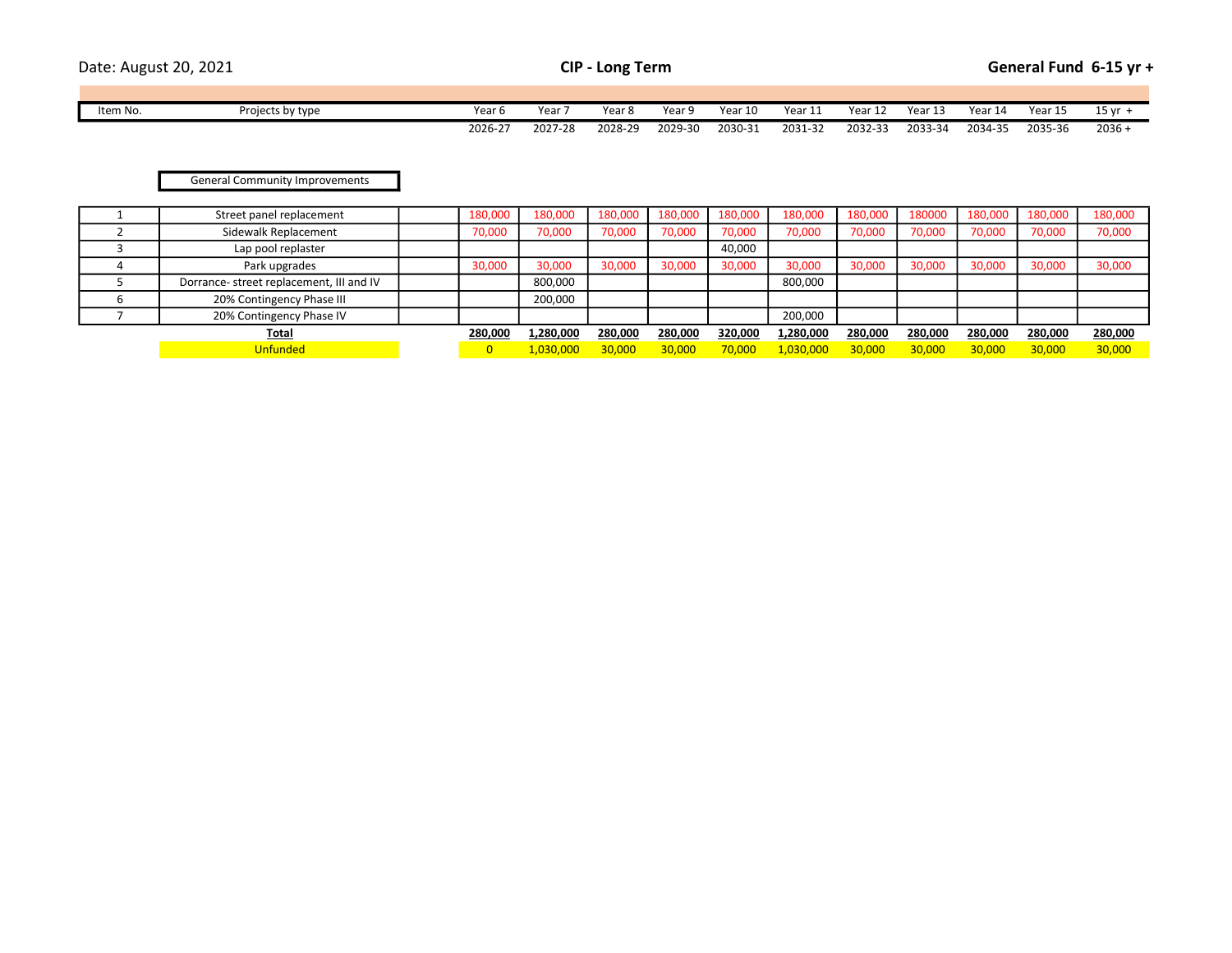| Date: August 20, 2021 |  |
|-----------------------|--|
|                       |  |

| Item No. | Projects by type | Year 6  | Year    | <b>Year</b> | Year 9  | Year 1 <sup>r</sup> | Year.<br>. . | Year    | Year 1. | Year 14 | Year 15 | 15 <sub>vr</sub> |
|----------|------------------|---------|---------|-------------|---------|---------------------|--------------|---------|---------|---------|---------|------------------|
|          |                  | 2026-27 | 2027-28 | 2028-29     | 2029-30 | 2030-31             | 2031-32      | 2032-33 | 2033-34 | 2034-35 | 2035-36 | $2036 -$         |

## General Community Improvements

| Street panel replacement                 | 180,000 | 180.000   | 180.000 | 180,000 | 180,000 | 180,000   | 180,000 | 180000  | 180.000 | 180,000 | 180,000 |
|------------------------------------------|---------|-----------|---------|---------|---------|-----------|---------|---------|---------|---------|---------|
| Sidewalk Replacement                     | 70,000  | 70,000    | 70,000  | 70,000  | 70,000  | 70,000    | 70,000  | 70,000  | 70,000  | 70,000  | 70,000  |
| Lap pool replaster                       |         |           |         |         | 40,000  |           |         |         |         |         |         |
| Park upgrades                            | 30,000  | 30,000    | 30,000  | 30,000  | 30,000  | 30,000    | 30,000  | 30,000  | 30,000  | 30,000  | 30,000  |
| Dorrance- street replacement, III and IV |         | 800,000   |         |         |         | 800,000   |         |         |         |         |         |
| 20% Contingency Phase III                |         | 200,000   |         |         |         |           |         |         |         |         |         |
| 20% Contingency Phase IV                 |         |           |         |         |         | 200,000   |         |         |         |         |         |
| <u>Total</u>                             | 280,000 | 1,280,000 | 280,000 | 280,000 | 320,000 | 1,280,000 | 280.000 | 280,000 | 280,000 | 280,000 | 280,000 |
| <b>Unfunded</b>                          |         | 1.030.000 | 30.000  | 30,000  | 70,000  | 1,030,000 | 30.000  | 30.000  | 30,000  | 30,000  | 30,000  |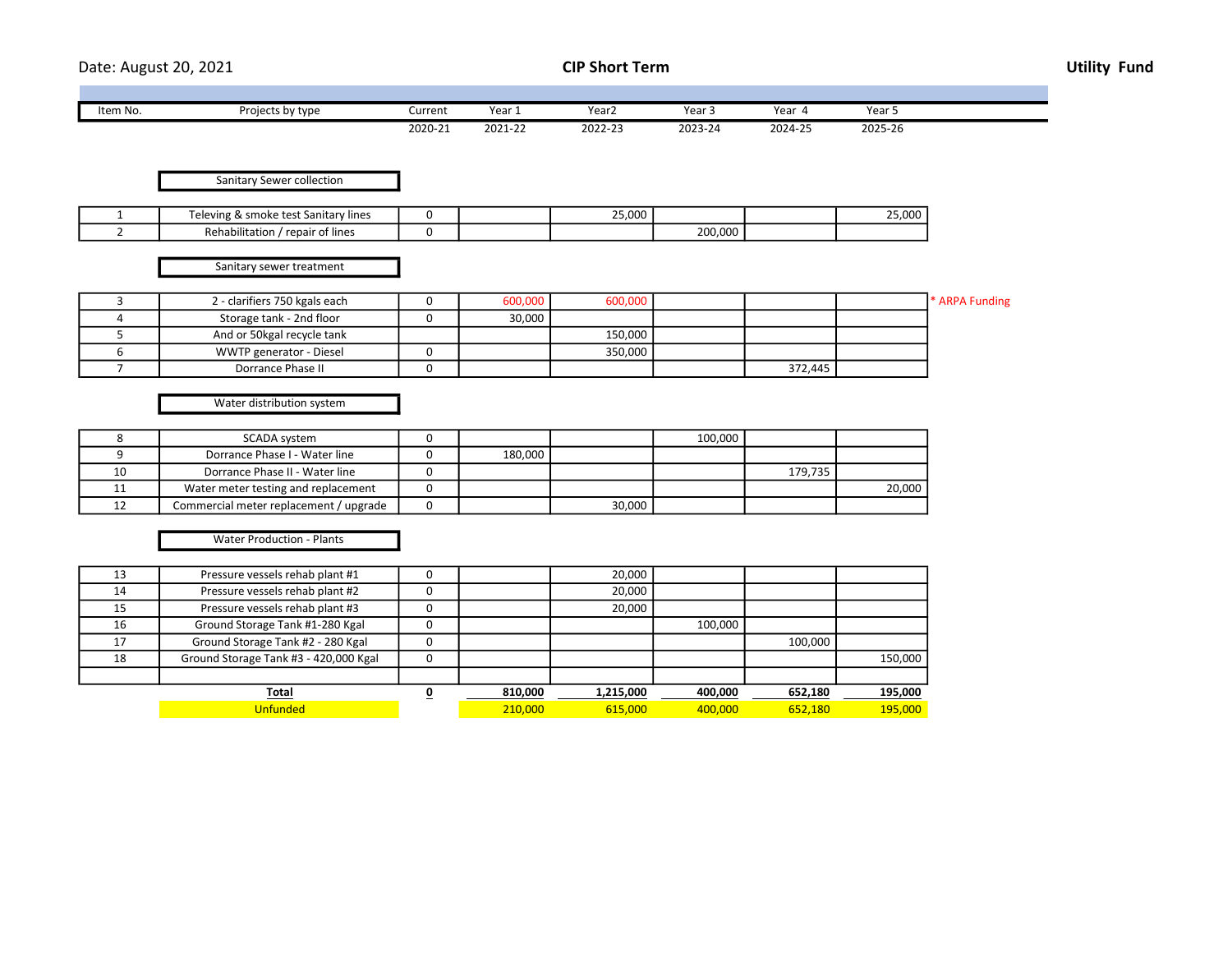Date: August 20, 2021 **CIP Short Term** CIP Short Term **CIP Short Term** Utility Fund

| Item No. | Projects by type | Current | Year 1  | Yearz   | Year 5  | Year    | Year 5  |
|----------|------------------|---------|---------|---------|---------|---------|---------|
|          |                  | 2020-21 | 2021-22 | 2022-23 | 2023-24 | 2024-25 | 2025-26 |

| Sanitary Sewer collection |  |
|---------------------------|--|

| . smoke test Sanitary lines i<br>-vinr  |  | 25.000 |         | .5,000 |
|-----------------------------------------|--|--------|---------|--------|
| Rehabi<br>repair of lines<br>pilitation |  |        | 200.000 |        |

Sanitary sewer treatment

| 2 - clarifiers 750 kgals each  | 600,000 | 600,000 |         | * ARPA Funding |
|--------------------------------|---------|---------|---------|----------------|
| Storage tank - 2nd floor       | 30,000  |         |         |                |
| And or 50 kgal recycle tank    |         | 150.000 |         |                |
| <b>WWTP generator - Diesel</b> |         | 350,000 |         |                |
| Dorrance Phase II              |         |         | 372,445 |                |

Water distribution system

|   | SCADA svstem                           |         |        | 100.000 |         |        |
|---|----------------------------------------|---------|--------|---------|---------|--------|
|   | Dorrance Phase I - Water line          | 180.000 |        |         |         |        |
|   | Dorrance Phase II - Water line         |         |        |         | 179.735 |        |
| ᆠ | Water meter testing and replacement    |         |        |         |         | 20,000 |
| ᅭ | Commercial meter replacement / upgrade |         | 30,000 |         |         |        |

Water Production - Plants

| 13 | Pressure vessels rehab plant #1       | υ |         | 20,000    |         |         |         |
|----|---------------------------------------|---|---------|-----------|---------|---------|---------|
| 14 | Pressure vessels rehab plant #2       | υ |         | 20,000    |         |         |         |
| 15 | Pressure vessels rehab plant #3       | υ |         | 20,000    |         |         |         |
| 16 | Ground Storage Tank #1-280 Kgal       | υ |         |           | 100,000 |         |         |
| 17 | Ground Storage Tank #2 - 280 Kgal     | U |         |           |         | 100,000 |         |
| 18 | Ground Storage Tank #3 - 420,000 Kgal | 0 |         |           |         |         | 150,000 |
|    |                                       |   |         |           |         |         |         |
|    | Total                                 |   | 810,000 | 1,215,000 | 400,000 | 652,180 | 195,000 |
|    | <b>Unfunded</b>                       |   | 210,000 | 615.000   | 400.000 | 652.180 | 195,000 |